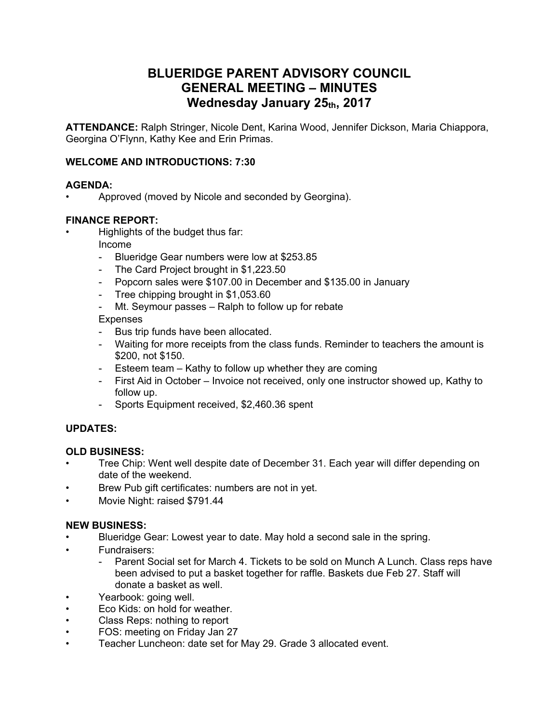# **BLUERIDGE PARENT ADVISORY COUNCIL GENERAL MEETING – MINUTES Wednesday January 25th, 2017**

**ATTENDANCE:** Ralph Stringer, Nicole Dent, Karina Wood, Jennifer Dickson, Maria Chiappora, Georgina O'Flynn, Kathy Kee and Erin Primas.

#### **WELCOME AND INTRODUCTIONS: 7:30**

#### **AGENDA:**

• Approved (moved by Nicole and seconded by Georgina).

#### **FINANCE REPORT:**

- Highlights of the budget thus far:
	- Income
	- Blueridge Gear numbers were low at \$253.85
	- The Card Project brought in \$1,223.50
	- Popcorn sales were \$107.00 in December and \$135.00 in January
	- Tree chipping brought in \$1,053.60
	- Mt. Seymour passes Ralph to follow up for rebate

#### Expenses

- Bus trip funds have been allocated.
- Waiting for more receipts from the class funds. Reminder to teachers the amount is \$200, not \$150.
- Esteem team Kathy to follow up whether they are coming
- First Aid in October Invoice not received, only one instructor showed up, Kathy to follow up.
- Sports Equipment received, \$2,460.36 spent

#### **UPDATES:**

#### **OLD BUSINESS:**

- Tree Chip: Went well despite date of December 31. Each year will differ depending on date of the weekend.<br>Brew Pub gift certificates: numbers are not in yet.
- 
- Movie Night: raised \$791.44

#### **NEW BUSINESS:**

- Blueridge Gear: Lowest year to date. May hold a second sale in the spring.<br>Fundraisers:
- - Parent Social set for March 4. Tickets to be sold on Munch A Lunch. Class reps have been advised to put a basket together for raffle. Baskets due Feb 27. Staff will donate a basket as well.
- Yearbook: going well.
- Eco Kids: on hold for weather.
- Class Reps: nothing to report
- FOS: meeting on Friday Jan 27
- Teacher Luncheon: date set for May 29. Grade 3 allocated event.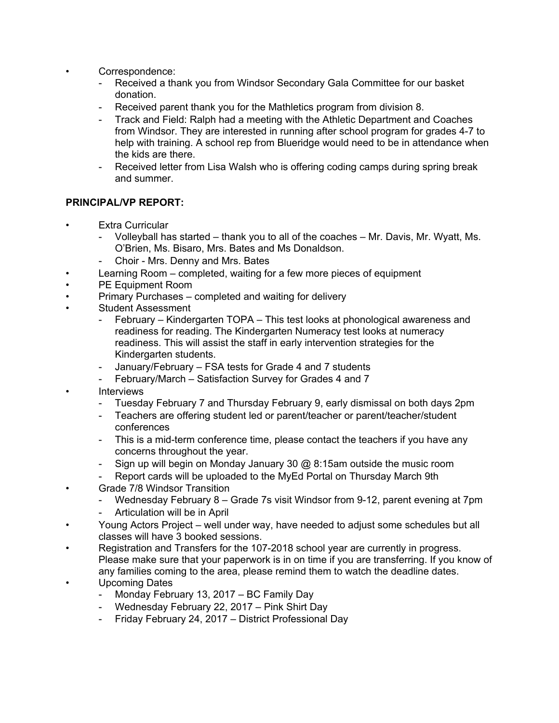- Correspondence:
	- Received a thank you from Windsor Secondary Gala Committee for our basket donation.
	- Received parent thank you for the Mathletics program from division 8.
	- Track and Field: Ralph had a meeting with the Athletic Department and Coaches from Windsor. They are interested in running after school program for grades 4-7 to help with training. A school rep from Blueridge would need to be in attendance when
	- the kids are there.<br>- Received letter from Lisa Walsh who is offering coding camps during spring break and summer.

### **PRINCIPAL/VP REPORT:**

- **Extra Curricular** 
	- Volleyball has started thank you to all of the coaches Mr. Davis, Mr. Wyatt, Ms. O'Brien, Ms. Bisaro, Mrs. Bates and Ms Donaldson.
	- Choir Mrs. Denny and Mrs. Bates
- Learning Room completed, waiting for a few more pieces of equipment
- PE Equipment Room
- Primary Purchases completed and waiting for delivery
- Student Assessment
	- February Kindergarten TOPA This test looks at phonological awareness and readiness for reading. The Kindergarten Numeracy test looks at numeracy readiness. This will assist the staff in early intervention strategies for the Kindergarten students.
	- January/February FSA tests for Grade 4 and 7 students
	- February/March Satisfaction Survey for Grades 4 and 7
- **Interviews** 
	- Tuesday February 7 and Thursday February 9, early dismissal on both days 2pm
	- Teachers are offering student led or parent/teacher or parent/teacher/student conferences
	- This is a mid-term conference time, please contact the teachers if you have any concerns throughout the year.
	- Sign up will begin on Monday January 30  $\omega$  8:15am outside the music room
	- Report cards will be uploaded to the MyEd Portal on Thursday March 9th
- Grade 7/8 Windsor Transition
	- Wednesday February 8 Grade 7s visit Windsor from 9-12, parent evening at 7pm
	- Articulation will be in April
- Young Actors Project well under way, have needed to adjust some schedules but all classes will have 3 booked sessions.
- Registration and Transfers for the 107-2018 school year are currently in progress. Please make sure that your paperwork is in on time if you are transferring. If you know of any families coming to the area, please remind them to watch the deadline dates.
- Upcoming Dates
	- Monday February 13, 2017 BC Family Day
	- Wednesday February 22, 2017 Pink Shirt Day
	- Friday February 24, 2017 District Professional Day